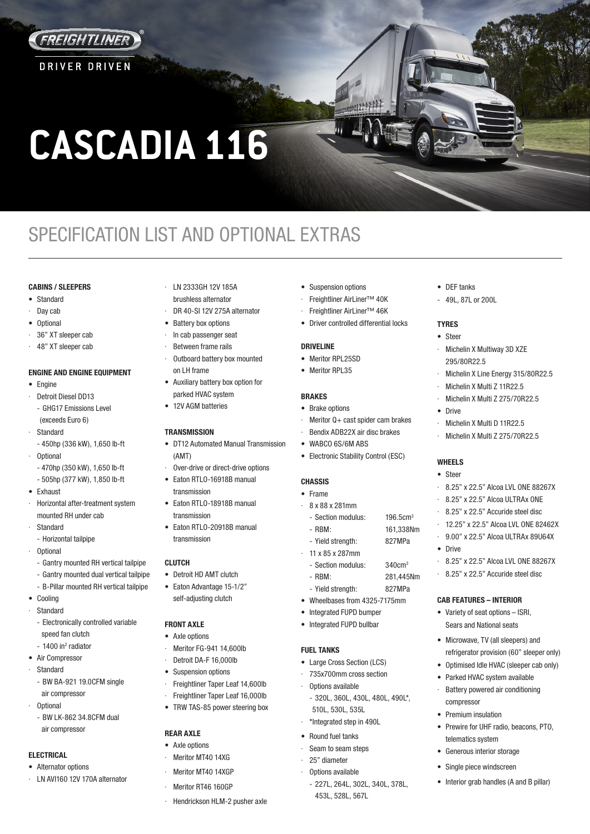

**DRIVER DRIVEN** 

**CASCADIA 116**

# SPECIFICATION LIST AND OPTIONAL EXTRAS

# **CABINS / SLEEPERS**

- Standard
- Day cab
- Optional
- 36" XT sleeper cab
- · 48" XT sleeper cab

## **ENGINE AND ENGINE EQUIPMENT**

- Engine
- · Detroit Diesel DD13 - GHG17 Emissions Level (exceeds Euro 6)
- **Standard**
- 450hp (336 kW), 1,650 lb-ft
- · Optional
	- 470hp (350 kW), 1,650 lb-ft
	- 505hp (377 kW), 1,850 lb-ft
- Exhaust
- · Horizontal after-treatment system mounted RH under cab
- **Standard**
- Horizontal tailpipe
- · Optional
	- Gantry mounted RH vertical tailpipe
- Gantry mounted dual vertical tailpipe
- B-Pillar mounted RH vertical tailpipe
- Cooling · Standard
- Electronically controlled variable
- speed fan clutch - 1400 in<sup>2</sup> radiator
- Air Compressor
- **Standard** 
	- BW BA-921 19.0CFM single air compressor
- · Optional
	- BW LK-862 34.8CFM dual air compressor

## **ELECTRICAL**

- Alternator options
- LN AVI160 12V 170A alternator
- · LN 2333GH 12V 185A brushless alternator
- DR 40-SI 12V 275A alternator
- Battery box options
- · In cab passenger seat Between frame rails
- Outboard battery box mounted
- on LH frame • Auxiliary battery box option for
- parked HVAC system
- 12V AGM batteries

# **TRANSMISSION**

- DT12 Automated Manual Transmission (AMT)
- Over-drive or direct-drive options
- Eaton RTLO-16918B manual transmission
- Eaton RTLO-18918B manual transmission
- Eaton RTLO-20918B manual transmission

# **CLUTCH**

- Detroit HD AMT clutch
- Eaton Advantage 15-1/2" self-adjusting clutch

#### **FRONT AXLE**

- Axle options
- · Meritor FG-941 14,600lb
- Detroit DA-F 16,000lb
- Suspension options
- Freightliner Taper Leaf 14,600lb
- Freightliner Taper Leaf 16,000lb
- TRW TAS-85 power steering box

# **REAR AXLE**

- Axle options
	- Meritor MT40 14XG
	- Meritor MT40 14XGP
	- Meritor RT46 160GP
- Hendrickson HLM-2 pusher axle
- Suspension options
- · Freightliner AirLiner™ 40K
- · Freightliner AirLiner™ 46K
- Driver controlled differential locks

• DEF tanks 49L, 87L or 200L

Michelin X Multiway 3D XZE

Michelin X Multi D 11R22.5 Michelin X Multi Z 275/70R22.5

Michelin X Line Energy 315/80R22.5 · Michelin X Multi Z 11R22.5 · Michelin X Multi Z 275/70R22.5

· 8.25" x 22.5" Alcoa LVL ONE 88267X · 8.25" x 22.5" Alcoa ULTRAx ONE 8.25" x 22.5" Accuride steel disc · 12.25" x 22.5" Alcoa LVL ONE 82462X · 9.00" x 22.5" Alcoa ULTRAx 89U64X

· 8.25" x 22.5" Alcoa LVL ONE 88267X · 8.25" x 22.5" Accuride steel disc

**CAB FEATURES – INTERIOR** • Variety of seat options – ISRI, Sears and National seats • Microwave, TV (all sleepers) and refrigerator provision (60" sleeper only) • Optimised Idle HVAC (sleeper cab only) Parked HVAC system available Battery powered air conditioning

compressor • Premium insulation

telematics system Generous interior storage Single piece windscreen

• Prewire for UHF radio, beacons, PTO,

• Interior grab handles (A and B pillar)

295/80R22.5

**TYRES** • Steer

• Drive

**WHEELS** • Steer

• Drive

# **DRIVELINE**

- Meritor RPL25SD
- Meritor RPL35

#### **BRAKES**

- Brake options
- Meritor  $Q +$  cast spider cam brakes
	- Bendix ADB22X air disc brakes
- WABCO 6S/6M ABS
- Electronic Stability Control (ESC)

# **CHASSIS**

- Frame
- · 8 x 88 x 281mm
	- Section modulus: 196.5cm<sup>3</sup> - RBM: 161,338Nm
	- Yield strength: 827MPa
	- · 11 x 85 x 287mm
	- Section modulus: 340cm<sup>3</sup>
	- RBM: 281,445Nm
	- Yield strength: 827MPa
- Wheelbases from 4325-7175mm
- Integrated FUPD bumper
- Integrated FUPD bullbar

# **FUEL TANKS**

- Large Cross Section (LCS)
- 735x700mm cross section
- Options available
- 320L, 360L, 430L, 480L, 490L\*, 510L, 530L, 535L

- 227L, 264L, 302L, 340L, 378L,

- · \*Integrated step in 490L
- Round fuel tanks
- Seam to seam steps · 25" diameter

· Options available

453L, 528L, 567L